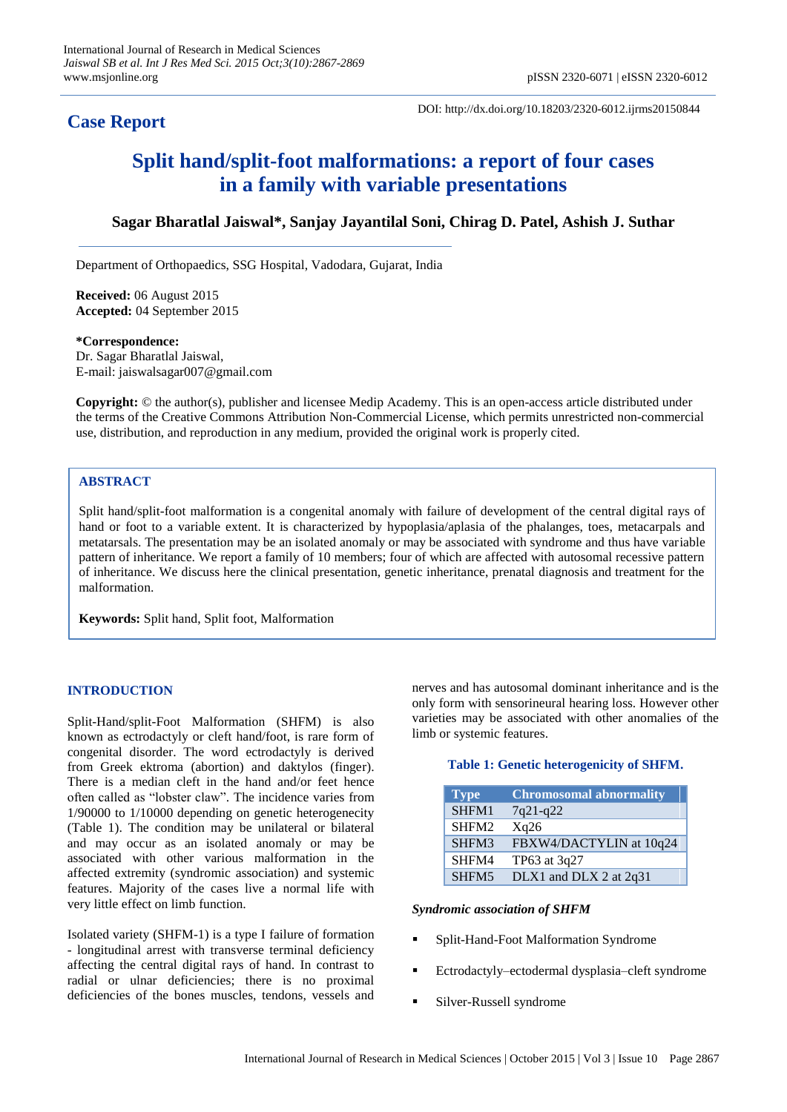## **Case Report**

DOI: http://dx.doi.org/10.18203/2320-6012.ijrms20150844

# **Split hand/split-foot malformations: a report of four cases in a family with variable presentations**

### **Sagar Bharatlal Jaiswal\*, Sanjay Jayantilal Soni, Chirag D. Patel, Ashish J. Suthar**

Department of Orthopaedics, SSG Hospital, Vadodara, Gujarat, India

**Received:** 06 August 2015 **Accepted:** 04 September 2015

**\*Correspondence:**

Dr. Sagar Bharatlal Jaiswal, E-mail: jaiswalsagar007@gmail.com

**Copyright:** © the author(s), publisher and licensee Medip Academy. This is an open-access article distributed under the terms of the Creative Commons Attribution Non-Commercial License, which permits unrestricted non-commercial use, distribution, and reproduction in any medium, provided the original work is properly cited.

#### **ABSTRACT**

Split hand/split-foot malformation is a congenital anomaly with failure of development of the central digital rays of hand or foot to a variable extent. It is characterized by hypoplasia/aplasia of the phalanges, toes, metacarpals and metatarsals. The presentation may be an isolated anomaly or may be associated with syndrome and thus have variable pattern of inheritance. We report a family of 10 members; four of which are affected with autosomal recessive pattern of inheritance. We discuss here the clinical presentation, genetic inheritance, prenatal diagnosis and treatment for the malformation.

**Keywords:** Split hand, Split foot, Malformation

#### **INTRODUCTION**

Split-Hand/split-Foot Malformation (SHFM) is also known as ectrodactyly or cleft hand/foot, is rare form of congenital disorder. The word ectrodactyly is derived from Greek ektroma (abortion) and daktylos (finger). There is a median cleft in the hand and/or feet hence often called as "lobster claw". The incidence varies from 1/90000 to 1/10000 depending on genetic heterogenecity (Table 1). The condition may be unilateral or bilateral and may occur as an isolated anomaly or may be associated with other various malformation in the affected extremity (syndromic association) and systemic features. Majority of the cases live a normal life with very little effect on limb function.

Isolated variety (SHFM-1) is a type I failure of formation - longitudinal arrest with transverse terminal deficiency affecting the central digital rays of hand. In contrast to radial or ulnar deficiencies; there is no proximal deficiencies of the bones muscles, tendons, vessels and

nerves and has autosomal dominant inheritance and is the only form with sensorineural hearing loss. However other varieties may be associated with other anomalies of the limb or systemic features.

#### **Table 1: Genetic heterogenicity of SHFM.**

| <b>Type</b>       | <b>Chromosomal abnormality</b> |
|-------------------|--------------------------------|
| SHFM1             | $7q21-q22$                     |
| SHFM <sub>2</sub> | Xq26                           |
| SHFM3             | FBXW4/DACTYLIN at 10q24        |
| SHFM4             | TP63 at 3q27                   |
| SHFM <sub>5</sub> | DLX1 and DLX 2 at 2q31         |

#### *Syndromic association of SHFM*

- Split-Hand-Foot Malformation Syndrome
- Ectrodactyly–ectodermal dysplasia–cleft syndrome
- Silver-Russell syndrome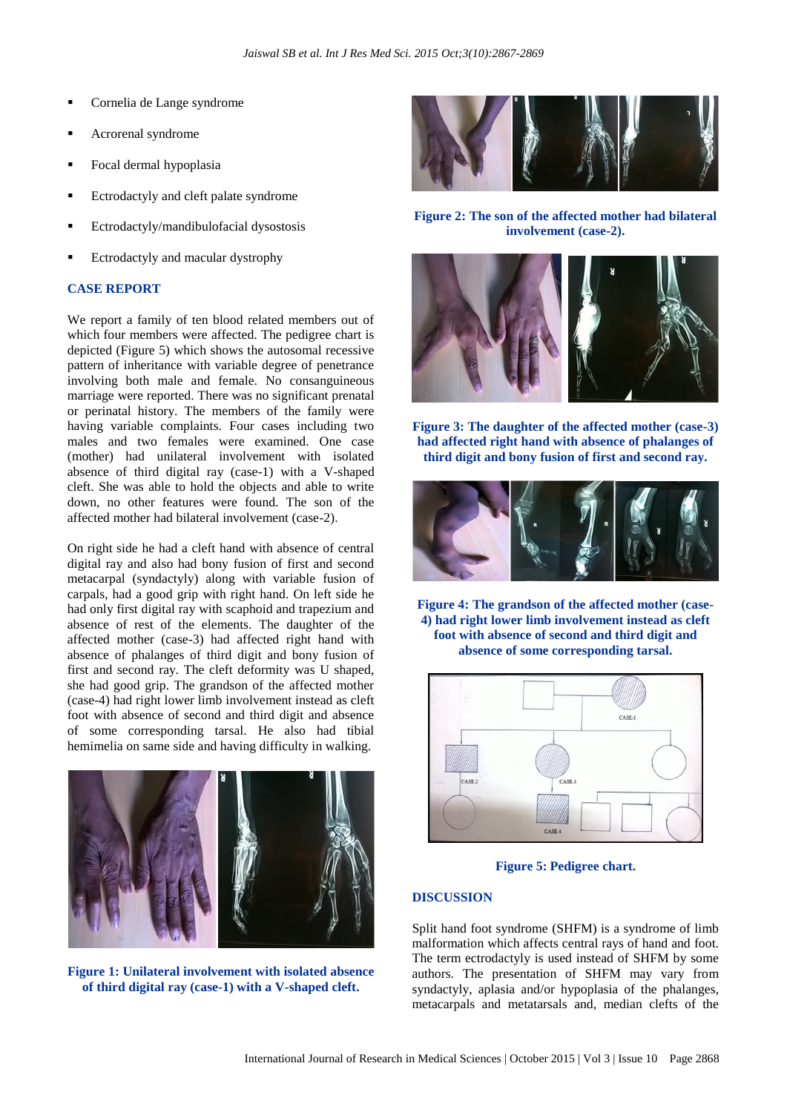- Cornelia de Lange syndrome
- Acrorenal syndrome
- Focal dermal hypoplasia
- Ectrodactyly and cleft palate syndrome
- Ectrodactyly/mandibulofacial dysostosis
- Ectrodactyly and macular dystrophy

#### **CASE REPORT**

We report a family of ten blood related members out of which four members were affected. The pedigree chart is depicted (Figure 5) which shows the autosomal recessive pattern of inheritance with variable degree of penetrance involving both male and female. No consanguineous marriage were reported. There was no significant prenatal or perinatal history. The members of the family were having variable complaints. Four cases including two males and two females were examined. One case (mother) had unilateral involvement with isolated absence of third digital ray (case-1) with a V-shaped cleft. She was able to hold the objects and able to write down, no other features were found. The son of the affected mother had bilateral involvement (case-2).

On right side he had a cleft hand with absence of central digital ray and also had bony fusion of first and second metacarpal (syndactyly) along with variable fusion of carpals, had a good grip with right hand. On left side he had only first digital ray with scaphoid and trapezium and absence of rest of the elements. The daughter of the affected mother (case-3) had affected right hand with absence of phalanges of third digit and bony fusion of first and second ray. The cleft deformity was U shaped, she had good grip. The grandson of the affected mother (case-4) had right lower limb involvement instead as cleft foot with absence of second and third digit and absence of some corresponding tarsal. He also had tibial hemimelia on same side and having difficulty in walking.



**Figure 1: Unilateral involvement with isolated absence of third digital ray (case-1) with a V-shaped cleft.**



**Figure 2: The son of the affected mother had bilateral involvement (case-2).** 



**Figure 3: The daughter of the affected mother (case-3) had affected right hand with absence of phalanges of third digit and bony fusion of first and second ray.**



**Figure 4: The grandson of the affected mother (case-4) had right lower limb involvement instead as cleft foot with absence of second and third digit and absence of some corresponding tarsal.**



**Figure 5: Pedigree chart.**

#### **DISCUSSION**

Split hand foot syndrome (SHFM) is a syndrome of limb malformation which affects central rays of hand and foot. The term ectrodactyly is used instead of SHFM by some authors. The presentation of SHFM may vary from syndactyly, aplasia and/or hypoplasia of the phalanges, metacarpals and metatarsals and, median clefts of the